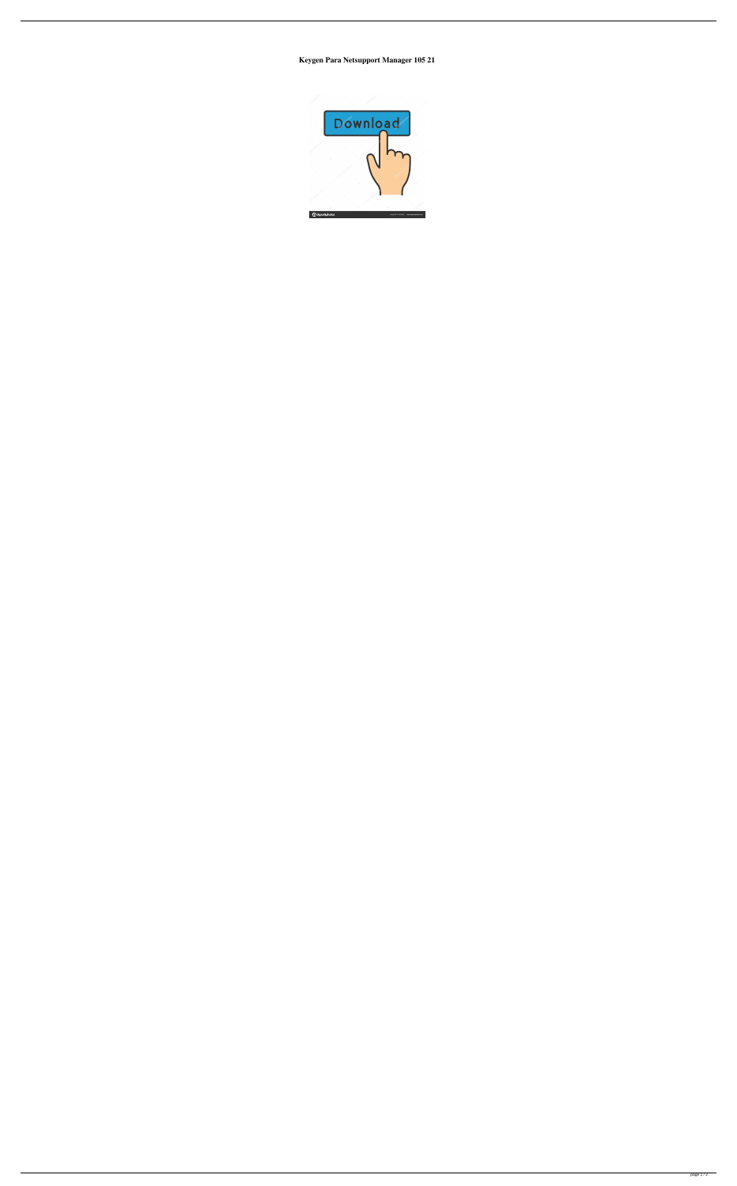Keygen Para Netsupport Manager 105 21